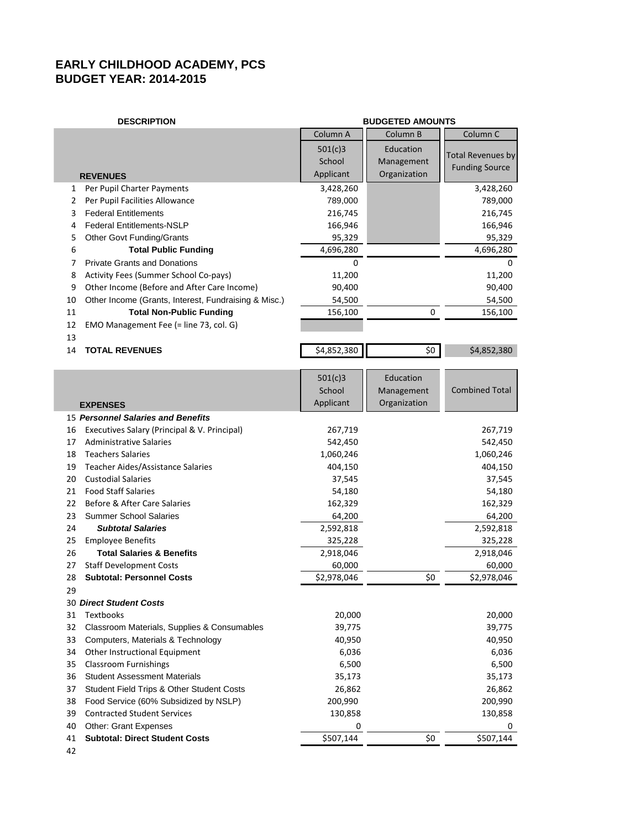## **EARLY CHILDHOOD ACADEMY, PCS BUDGET YEAR: 2014-2015**

| <b>DESCRIPTION</b>            |                                                                    | <b>BUDGETED AMOUNTS</b> |                 |                          |  |  |  |  |
|-------------------------------|--------------------------------------------------------------------|-------------------------|-----------------|--------------------------|--|--|--|--|
|                               |                                                                    | Column A                | Column B        | Column <sub>C</sub>      |  |  |  |  |
|                               |                                                                    | 501(c)3                 | Education       |                          |  |  |  |  |
|                               |                                                                    | School                  | Management      | <b>Total Revenues by</b> |  |  |  |  |
|                               | <b>REVENUES</b>                                                    | Applicant               | Organization    | <b>Funding Source</b>    |  |  |  |  |
| 1                             | Per Pupil Charter Payments                                         | 3,428,260               |                 | 3,428,260                |  |  |  |  |
| 2                             | Per Pupil Facilities Allowance                                     | 789,000                 |                 | 789,000                  |  |  |  |  |
| 3                             | <b>Federal Entitlements</b>                                        | 216,745                 |                 | 216,745                  |  |  |  |  |
| 4                             | <b>Federal Entitlements-NSLP</b>                                   | 166,946                 |                 | 166,946                  |  |  |  |  |
| 5                             | Other Govt Funding/Grants                                          | 95,329                  |                 | 95,329                   |  |  |  |  |
| 6                             | <b>Total Public Funding</b>                                        | 4,696,280               |                 | 4,696,280                |  |  |  |  |
| 7                             | <b>Private Grants and Donations</b>                                | 0                       |                 | 0                        |  |  |  |  |
| 8                             | Activity Fees (Summer School Co-pays)                              | 11,200                  |                 | 11,200                   |  |  |  |  |
| 9                             | Other Income (Before and After Care Income)                        | 90,400                  |                 | 90,400                   |  |  |  |  |
| 10                            | Other Income (Grants, Interest, Fundraising & Misc.)               | 54,500                  |                 | 54,500                   |  |  |  |  |
| 11                            | <b>Total Non-Public Funding</b>                                    | 156,100                 | 0               | 156,100                  |  |  |  |  |
| 12                            | EMO Management Fee (= line 73, col. G)                             |                         |                 |                          |  |  |  |  |
| 13                            |                                                                    |                         |                 |                          |  |  |  |  |
| 14                            | <b>TOTAL REVENUES</b>                                              | \$4,852,380             | $\overline{50}$ | \$4,852,380              |  |  |  |  |
|                               |                                                                    |                         |                 |                          |  |  |  |  |
|                               |                                                                    | 501(c)3                 | Education       |                          |  |  |  |  |
|                               |                                                                    | School                  | Management      | <b>Combined Total</b>    |  |  |  |  |
|                               | <b>EXPENSES</b>                                                    | Applicant               | Organization    |                          |  |  |  |  |
|                               | 15 Personnel Salaries and Benefits                                 |                         |                 |                          |  |  |  |  |
| 16                            | Executives Salary (Principal & V. Principal)                       | 267,719                 |                 | 267,719                  |  |  |  |  |
| 17                            | <b>Administrative Salaries</b>                                     | 542,450                 |                 | 542,450                  |  |  |  |  |
| 18                            | <b>Teachers Salaries</b>                                           | 1,060,246               |                 | 1,060,246                |  |  |  |  |
| 19                            | <b>Teacher Aides/Assistance Salaries</b>                           | 404,150                 |                 | 404,150                  |  |  |  |  |
| 20                            | <b>Custodial Salaries</b>                                          | 37,545                  |                 | 37,545                   |  |  |  |  |
| 21                            | <b>Food Staff Salaries</b>                                         | 54,180                  |                 | 54,180                   |  |  |  |  |
| 22                            | Before & After Care Salaries                                       | 162,329                 |                 | 162,329                  |  |  |  |  |
| 23                            | <b>Summer School Salaries</b>                                      | 64,200                  |                 | 64,200                   |  |  |  |  |
| 24                            | <b>Subtotal Salaries</b>                                           | 2,592,818               |                 | 2,592,818                |  |  |  |  |
| 25                            | <b>Employee Benefits</b>                                           | 325,228                 |                 | 325,228                  |  |  |  |  |
| 26                            | <b>Total Salaries &amp; Benefits</b>                               | 2,918,046               |                 | 2,918,046                |  |  |  |  |
| 27<br>28                      | <b>Staff Development Costs</b><br><b>Subtotal: Personnel Costs</b> | 60,000<br>\$2,978,046   | \$0             | 60,000<br>\$2,978,046    |  |  |  |  |
|                               |                                                                    |                         |                 |                          |  |  |  |  |
| 29<br>30 Direct Student Costs |                                                                    |                         |                 |                          |  |  |  |  |
| 31                            | Textbooks                                                          | 20,000                  |                 | 20,000                   |  |  |  |  |
| 32                            | Classroom Materials, Supplies & Consumables                        | 39,775                  |                 | 39,775                   |  |  |  |  |
| 33                            | Computers, Materials & Technology                                  | 40,950                  |                 | 40,950                   |  |  |  |  |
| 34                            | Other Instructional Equipment                                      | 6,036                   |                 | 6,036                    |  |  |  |  |
| 35                            | <b>Classroom Furnishings</b>                                       | 6,500                   |                 | 6,500                    |  |  |  |  |
| 36                            | <b>Student Assessment Materials</b>                                | 35,173                  |                 | 35,173                   |  |  |  |  |
| 37                            | Student Field Trips & Other Student Costs                          | 26,862                  |                 | 26,862                   |  |  |  |  |
| 38                            | Food Service (60% Subsidized by NSLP)                              | 200,990                 |                 | 200,990                  |  |  |  |  |
| 39                            | <b>Contracted Student Services</b>                                 | 130,858                 |                 | 130,858                  |  |  |  |  |
| 40                            | <b>Other: Grant Expenses</b>                                       | 0                       |                 | 0                        |  |  |  |  |
| 41                            | <b>Subtotal: Direct Student Costs</b>                              | \$507,144               | \$0             | \$507,144                |  |  |  |  |
| 42                            |                                                                    |                         |                 |                          |  |  |  |  |